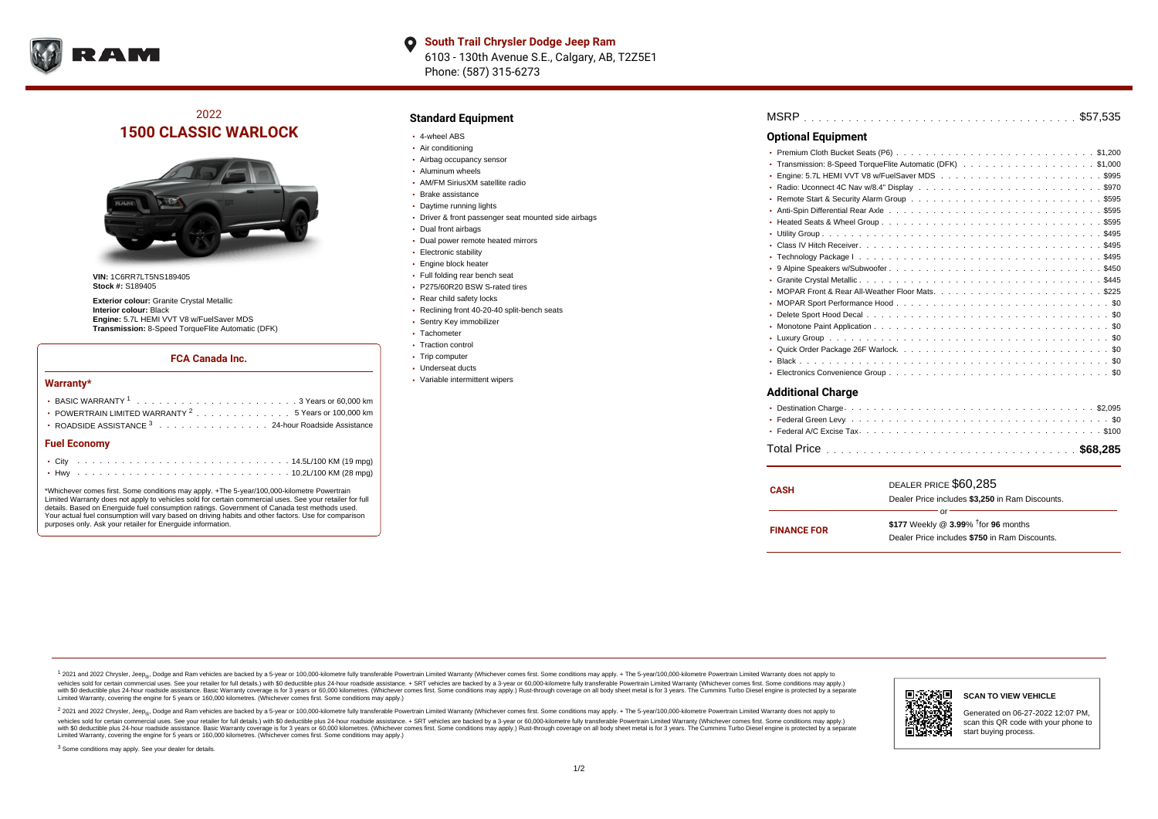

**South Trail Chrysler Dodge Jeep Ram**  $\bullet$ 6103 - 130th Avenue S.E., Calgary, AB, T2Z5E1 Phone: (587) 315-6273

# 2022 **1500 CLASSIC WARLOCK**



**VIN:** 1C6RR7LT5NS189405 **Stock #:** S189405

**Exterior colour:** Granite Crystal Metallic **Interior colour:** Black **Engine:** 5.7L HEMI VVT V8 w/FuelSaver MDS **Transmission:** 8-Speed TorqueFlite Automatic (DFK)

#### **FCA Canada Inc.**

#### **Warranty\***

| • POWERTRAIN LIMITED WARRANTY <sup>2</sup> 5 Years or 100,000 km |  |  |  |  |  |  |
|------------------------------------------------------------------|--|--|--|--|--|--|
| • ROADSIDE ASSISTANCE 3 24-hour Roadside Assistance              |  |  |  |  |  |  |
| <b>Fuel Economy</b>                                              |  |  |  |  |  |  |
|                                                                  |  |  |  |  |  |  |

\*Whichever comes first. Some conditions may apply. +The 5-year/100,000-kilometre Powertrain Limited Warranty does not apply to vehicles sold for certain commercial uses. See your retailer for full details. Based on Energuide fuel consumption ratings. Government of Canada test methods used. Your actual fuel consumption will vary based on driving habits and other factors. Use for comparison purposes only. Ask your retailer for Energuide information.

. . . . . . . . . . . . . . . . . . . . . . . . . . . . . . . . . . . . . . . . . . . Hwy 10.2L/100 KM (28 mpg)

### **Standard Equipment**

- 4-wheel ABS
- Air conditioning
- Airbag occupancy sensor
- Aluminum wheels
- AM/FM SiriusXM satellite radio
- Brake assistance
- Daytime running lights
- Driver & front passenger seat mounted side airbags
- Dual front airbags
- Dual power remote heated mirrors
- **Electronic stability**
- Engine block heater
- Full folding rear bench seat
- P275/60R20 BSW S-rated tires
- Rear child safety locks
- Reclining front 40-20-40 split-bench seats
- Sentry Key immobilizer
- Tachometer
- Traction control • Trip computer
- Underseat ducts
- Variable intermittent wipers

| <b>Optional Equipment</b>                                    |
|--------------------------------------------------------------|
|                                                              |
| • Transmission: 8-Speed TorqueFlite Automatic (DFK). \$1,000 |
|                                                              |
|                                                              |
|                                                              |
|                                                              |
|                                                              |
|                                                              |
|                                                              |
|                                                              |
|                                                              |
|                                                              |
|                                                              |
|                                                              |
|                                                              |
|                                                              |
|                                                              |
|                                                              |
|                                                              |
|                                                              |
| <b>Additional Charge</b>                                     |

| <b>CASH</b>        | DEALER PRICE \$60,285<br>Dealer Price includes \$3,250 in Ram Discounts.                               |
|--------------------|--------------------------------------------------------------------------------------------------------|
| <b>FINANCE FOR</b> | Ωr<br>\$177 Weekly @ 3.99% <sup>t</sup> for 96 months<br>Dealer Price includes \$750 in Ram Discounts. |

<sup>1</sup> 2021 and 2022 Chrysler, Jeep<sub>®</sub>, Dodge and Ram vehicles are backed by a 5-year or 100,000-kilometre fully transferable Powertrain Limited Warranty (Whichever comes first. Some conditions may apply. + The 5-year/100,000 vehicles sold for certain commercial uses. See your retailer for full details.) with \$0 deductible plus 24 hour roadside assistance. + SRT vehicles are backed by a 3-year or 60,000-kilometre fully transferable Powertrain L versus and contract the mean of the contract of the contract with a contract with a contract the contract of the contract of the contract the contract of the contract of the contract of the contract of the contract of the Limited Warranty, covering the engine for 5 years or 160,000 kilometres. (Whichever comes first. Some conditions may apply.)

2 2021 and 2022 Chrysler, Jeep<sub>®</sub>, Dodge and Ram vehicles are backed by a 5-year or 100,000-kilometre fully transferable Powertrain Limited Warranty (Whichever comes first. Some conditions may apply. + The 5-year/100,000-k vehicles sold for certain commercial uses. See your retailer for full details.) with SO deductible plus 24-hour roadside assistance. + SRT vehicles are backed by a 3-year or 60.000-kilometre fully transferable Powertrain. with S0 deductible plus 24-hour roadside assistance. Basic Warranty coverage is for 3 years or 60,000 kilometres. (Whichever comes first. Some conditions may apply.) Rust-through coverage on all body sheet metal is for 3 y

<sup>3</sup> Some conditions may apply. See your dealer for details.